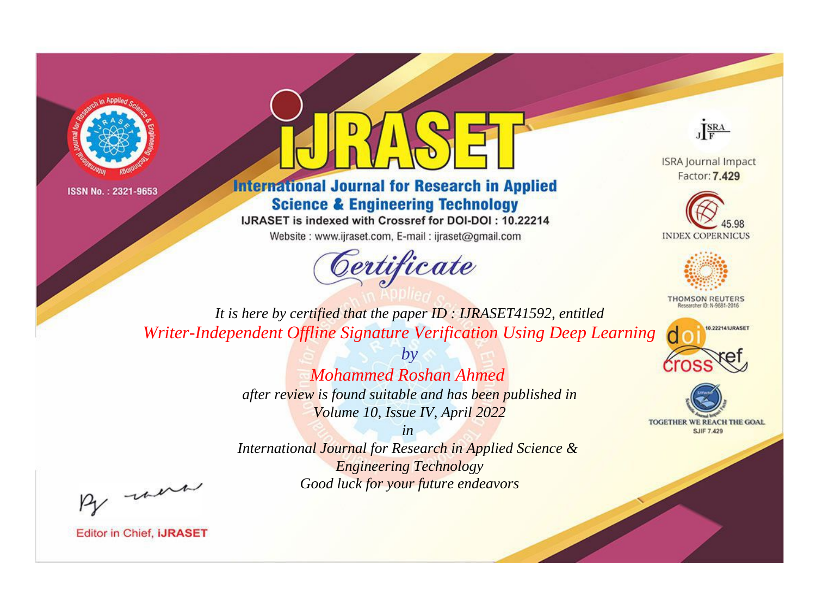



## **International Journal for Research in Applied Science & Engineering Technology**

IJRASET is indexed with Crossref for DOI-DOI: 10.22214

Website: www.ijraset.com, E-mail: ijraset@gmail.com





**ISRA Journal Impact** Factor: 7.429





**THOMSON REUTERS** 



TOGETHER WE REACH THE GOAL **SJIF 7.429** 

*It is here by certified that the paper ID : IJRASET41592, entitled Writer-Independent Offline Signature Verification Using Deep Learning*

> *Mohammed Roshan Ahmed after review is found suitable and has been published in Volume 10, Issue IV, April 2022*

*by*

*in* 

*International Journal for Research in Applied Science & Engineering Technology Good luck for your future endeavors*

By morn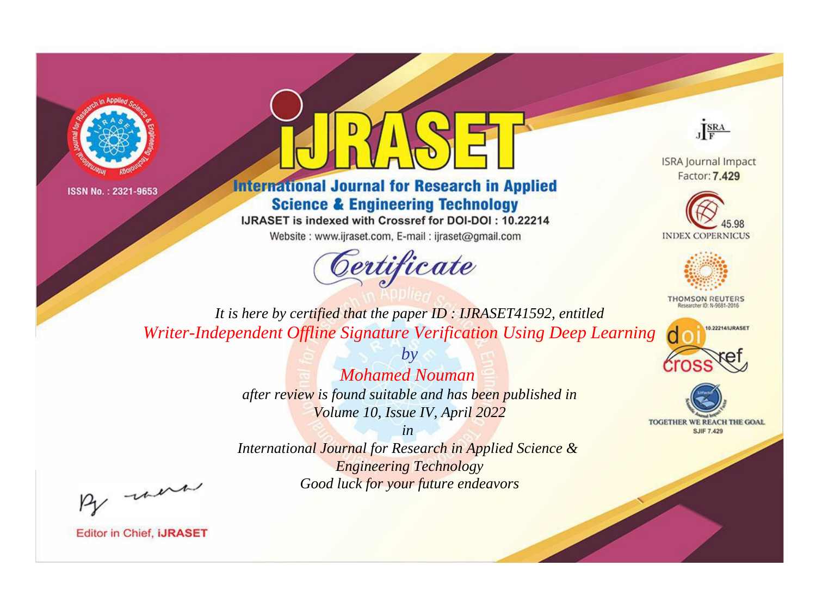



**International Journal for Research in Applied Science & Engineering Technology** 

IJRASET is indexed with Crossref for DOI-DOI: 10.22214

Website: www.ijraset.com, E-mail: ijraset@gmail.com





**ISRA Journal Impact** Factor: 7.429





**THOMSON REUTERS** 



TOGETHER WE REACH THE GOAL **SJIF 7.429** 

*It is here by certified that the paper ID : IJRASET41592, entitled Writer-Independent Offline Signature Verification Using Deep Learning*

> *Mohamed Nouman after review is found suitable and has been published in Volume 10, Issue IV, April 2022*

*by*

*in* 

*International Journal for Research in Applied Science & Engineering Technology Good luck for your future endeavors*

By morn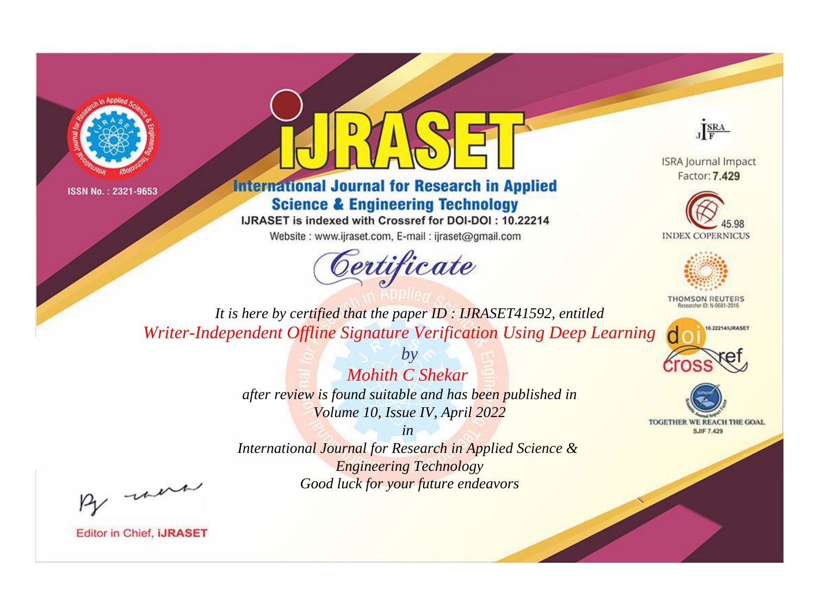



**International Journal for Research in Applied Science & Engineering Technology** 

IJRASET is indexed with Crossref for DOI-DOI: 10.22214

Website: www.ijraset.com, E-mail: ijraset@gmail.com



JERA

**ISRA Journal Impact** Factor: 7.429





**THOMSON REUTERS** 



TOGETHER WE REACH THE GOAL **SJIF 7.429** 

*It is here by certified that the paper ID : IJRASET41592, entitled Writer-Independent Offline Signature Verification Using Deep Learning*

> *Mohith C Shekar after review is found suitable and has been published in Volume 10, Issue IV, April 2022*

*by*

*in* 

*International Journal for Research in Applied Science & Engineering Technology Good luck for your future endeavors*

By morn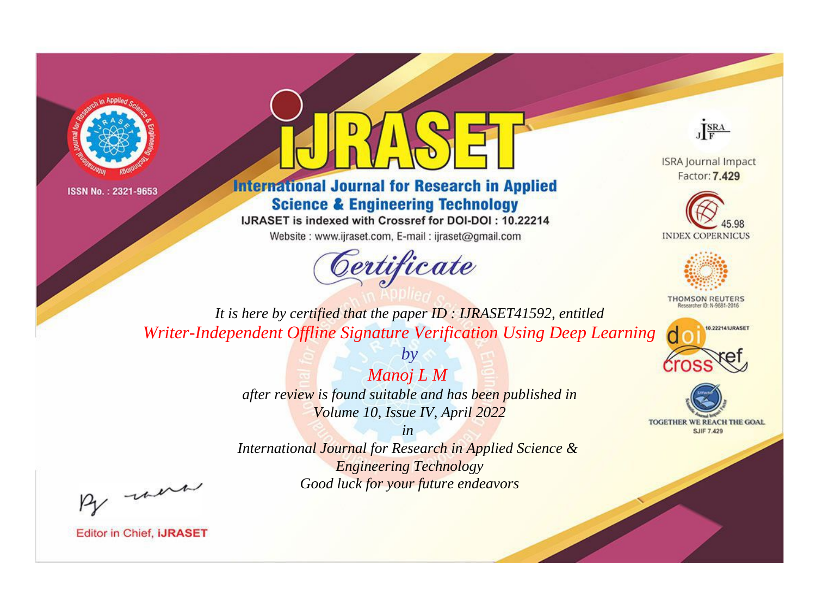



**International Journal for Research in Applied Science & Engineering Technology** 

IJRASET is indexed with Crossref for DOI-DOI: 10.22214

Website: www.ijraset.com, E-mail: ijraset@gmail.com



JERA

**ISRA Journal Impact** Factor: 7.429





**THOMSON REUTERS** 



TOGETHER WE REACH THE GOAL **SJIF 7.429** 

*It is here by certified that the paper ID : IJRASET41592, entitled Writer-Independent Offline Signature Verification Using Deep Learning*

> *Manoj L M after review is found suitable and has been published in Volume 10, Issue IV, April 2022*

*by*

*in* 

*International Journal for Research in Applied Science & Engineering Technology Good luck for your future endeavors*

By morn